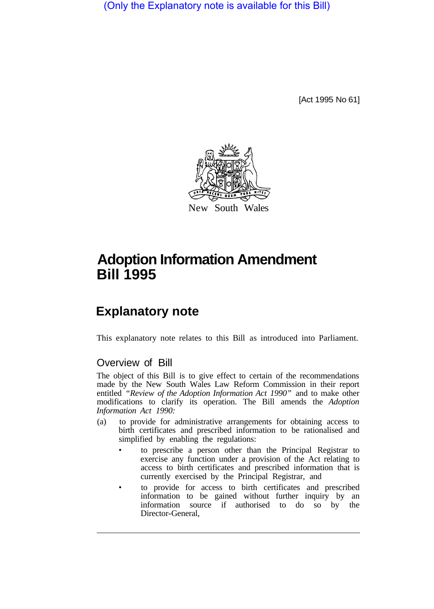(Only the Explanatory note is available for this Bill)

[Act 1995 No 61]



## **Adoption Information Amendment Bill 1995**

## **Explanatory note**

This explanatory note relates to this Bill as introduced into Parliament.

## Overview of Bill

The object of this Bill is to give effect to certain of the recommendations made by the New South Wales Law Reform Commission in their report entitled *"Review of the Adoption Information Act 1990"* and to make other modifications to clarify its operation. The Bill amends the *Adoption Information Act 1990:* 

- (a) to provide for administrative arrangements for obtaining access to birth certificates and prescribed information to be rationalised and simplified by enabling the regulations:
	- to prescribe a person other than the Principal Registrar to exercise any function under a provision of the Act relating to access to birth certificates and prescribed information that is currently exercised by the Principal Registrar, and
	- to provide for access to birth certificates and prescribed information to be gained without further inquiry by an information source if authorised to do so by the Director-General,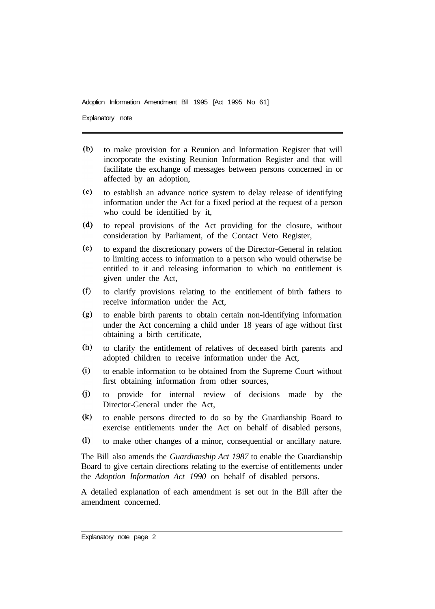Adoption Information Amendment Bill 1995 [Act 1995 No 61]

Explanatory note

- $(b)$ to make provision for a Reunion and Information Register that will incorporate the existing Reunion Information Register and that will facilitate the exchange of messages between persons concerned in or affected by an adoption,
- $(c)$ to establish an advance notice system to delay release of identifying information under the Act for a fixed period at the request of a person who could be identified by it,
- $(d)$ to repeal provisions of the Act providing for the closure, without consideration by Parliament, of the Contact Veto Register,
- $(e)$ to expand the discretionary powers of the Director-General in relation to limiting access to information to a person who would otherwise be entitled to it and releasing information to which no entitlement is given under the Act,
- $(f)$ to clarify provisions relating to the entitlement of birth fathers to receive information under the Act,
- $(g)$ to enable birth parents to obtain certain non-identifying information under the Act concerning a child under 18 years of age without first obtaining a birth certificate,
- $(h)$ to clarify the entitlement of relatives of deceased birth parents and adopted children to receive information under the Act,
- $(i)$ to enable information to be obtained from the Supreme Court without first obtaining information from other sources,
- $(i)$ to provide for internal review of decisions made by the Director-General under the Act.
- $(k)$ to enable persons directed to do so by the Guardianship Board to exercise entitlements under the Act on behalf of disabled persons,
- $(1)$ to make other changes of a minor, consequential or ancillary nature.

The Bill also amends the *Guardianship Act 1987* to enable the Guardianship Board to give certain directions relating to the exercise of entitlements under the *Adoption Information Act 1990* on behalf of disabled persons.

A detailed explanation of each amendment is set out in the Bill after the amendment concerned.